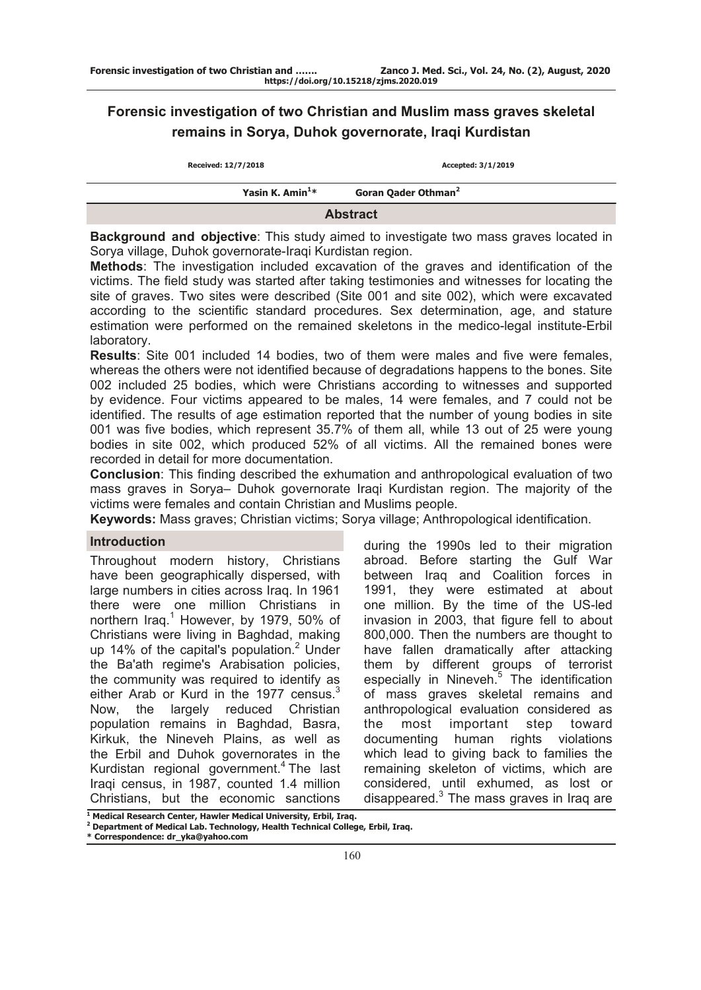# **Forensic investigation of two Christian and Muslim mass graves skeletal remains in Sorya, Duhok governorate, Iraqi Kurdistan**

| Received: 12/7/2018         | Accepted: 3/1/2019              |  |  |  |  |
|-----------------------------|---------------------------------|--|--|--|--|
| Yasin K. Amin <sup>1*</sup> | Goran Qader Othman <sup>2</sup> |  |  |  |  |
| <b>Abstract</b>             |                                 |  |  |  |  |

**Background and objective**: This study aimed to investigate two mass graves located in Sorya village, Duhok governorate-Iraqi Kurdistan region.

**Methods**: The investigation included excavation of the graves and identification of the victims. The field study was started after taking testimonies and witnesses for locating the site of graves. Two sites were described (Site 001 and site 002), which were excavated according to the scientific standard procedures. Sex determination, age, and stature estimation were performed on the remained skeletons in the medico-legal institute-Erbil laboratory.

**Results**: Site 001 included 14 bodies, two of them were males and five were females, whereas the others were not identified because of degradations happens to the bones. Site 002 included 25 bodies, which were Christians according to witnesses and supported by evidence. Four victims appeared to be males, 14 were females, and 7 could not be identified. The results of age estimation reported that the number of young bodies in site 001 was five bodies, which represent 35.7% of them all, while 13 out of 25 were young bodies in site 002, which produced 52% of all victims. All the remained bones were recorded in detail for more documentation.

**Conclusion**: This finding described the exhumation and anthropological evaluation of two mass graves in Sorya– Duhok governorate Iraqi Kurdistan region. The majority of the victims were females and contain Christian and Muslims people.

**Keywords:** Mass graves; Christian victims; Sorya village; Anthropological identification.

# **Introduction**

Throughout modern history, Christians have been geographically dispersed, with large numbers in cities across Iraq. In 1961 there were one million Christians in northern Iraq.<sup>1</sup> However, by 1979, 50% of Christians were living in Baghdad, making up 14% of the capital's population.<sup>2</sup> Under the Ba'ath regime's Arabisation policies, the community was required to identify as either Arab or Kurd in the 1977 census. $3$ Now, the largely reduced Christian population remains in Baghdad, Basra, Kirkuk, the Nineveh Plains, as well as the Erbil and Duhok governorates in the Kurdistan regional government.<sup>4</sup> The last Iraqi census, in 1987, counted 1.4 million Christians, but the economic sanctions

during the 1990s led to their migration abroad. Before starting the Gulf War between Iraq and Coalition forces in 1991, they were estimated at about one million. By the time of the US-led invasion in 2003, that figure fell to about 800,000. Then the numbers are thought to have fallen dramatically after attacking them by different groups of terrorist especially in Nineveh.<sup>5</sup> The identification of mass graves skeletal remains and anthropological evaluation considered as the most important step toward documenting human rights violations which lead to giving back to families the remaining skeleton of victims, which are considered, until exhumed, as lost or disappeared.<sup>3</sup> The mass graves in Iraq are

**<sup>1</sup> Medical Research Center, Hawler Medical University, Erbil, Iraq.** 

**<sup>2</sup> Department of Medical Lab. Technology, Health Technical College, Erbil, Iraq.**

**<sup>\*</sup> Correspondence: dr\_yka@yahoo.com**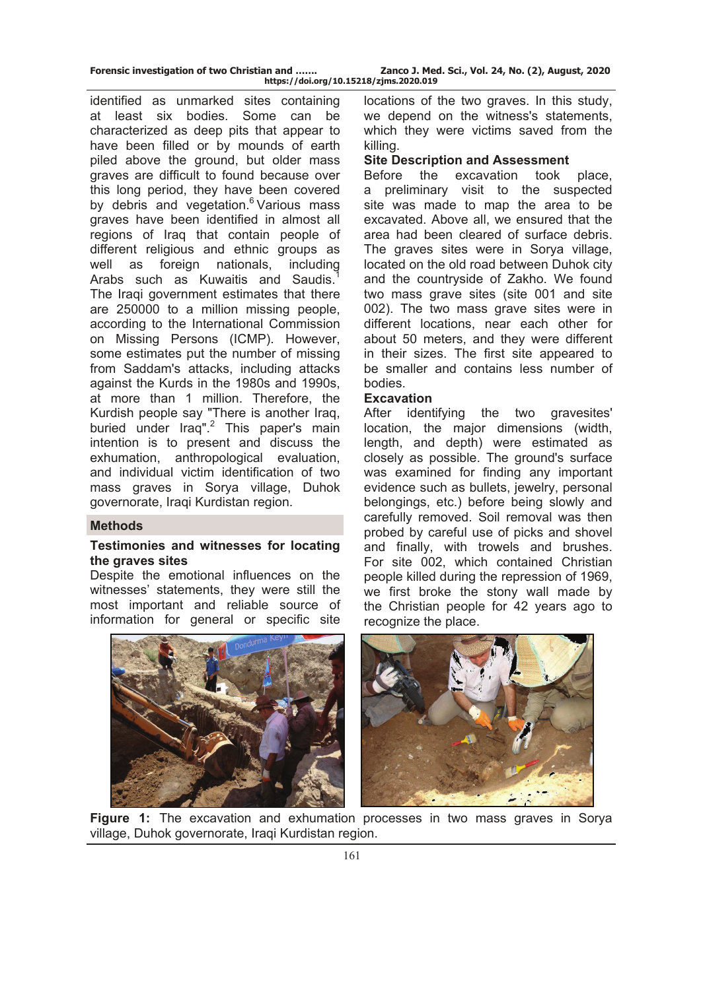| Forensic investigation of two Christian and |  |  |
|---------------------------------------------|--|--|
|                                             |  |  |

**Zanco J. Med. Sci., Vol. 24, No. (2), August, 2020 https://doi.org/10.15218/zjms.2020.019**

identified as unmarked sites containing at least six bodies. Some can be characterized as deep pits that appear to have been filled or by mounds of earth piled above the ground, but older mass graves are difficult to found because over this long period, they have been covered by debris and vegetation.<sup>6</sup> Various mass graves have been identified in almost all regions of Iraq that contain people of different religious and ethnic groups as well as foreign nationals, including Arabs such as Kuwaitis and Saudis.<sup>1</sup> The Iraqi government estimates that there are 250000 to a million missing people, according to the International Commission on Missing Persons (ICMP). However, some estimates put the number of missing from Saddam's attacks, including attacks against the Kurds in the 1980s and 1990s, at more than 1 million. Therefore, the Kurdish people say "There is another Iraq, buried under Iraq".<sup>2</sup> This paper's main intention is to present and discuss the exhumation, anthropological evaluation, and individual victim identification of two mass graves in Sorya village, Duhok governorate, Iraqi Kurdistan region.

# **Methods**

# **Testimonies and witnesses for locating the graves sites**

Despite the emotional influences on the witnesses' statements, they were still the most important and reliable source of information for general or specific site locations of the two graves. In this study, we depend on the witness's statements, which they were victims saved from the killing.

# **Site Description and Assessment**

Before the excavation took place, a preliminary visit to the suspected site was made to map the area to be excavated. Above all, we ensured that the area had been cleared of surface debris. The graves sites were in Sorya village, located on the old road between Duhok city and the countryside of Zakho. We found two mass grave sites (site 001 and site 002). The two mass grave sites were in different locations, near each other for about 50 meters, and they were different in their sizes. The first site appeared to be smaller and contains less number of bodies.

### **Excavation**

After identifying the two gravesites' location, the major dimensions (width, length, and depth) were estimated as closely as possible. The ground's surface was examined for finding any important evidence such as bullets, jewelry, personal belongings, etc.) before being slowly and carefully removed. Soil removal was then probed by careful use of picks and shovel and finally, with trowels and brushes. For site 002, which contained Christian people killed during the repression of 1969, we first broke the stony wall made by the Christian people for 42 years ago to recognize the place.



**Figure 1:** The excavation and exhumation processes in two mass graves in Sorya village, Duhok governorate, Iraqi Kurdistan region.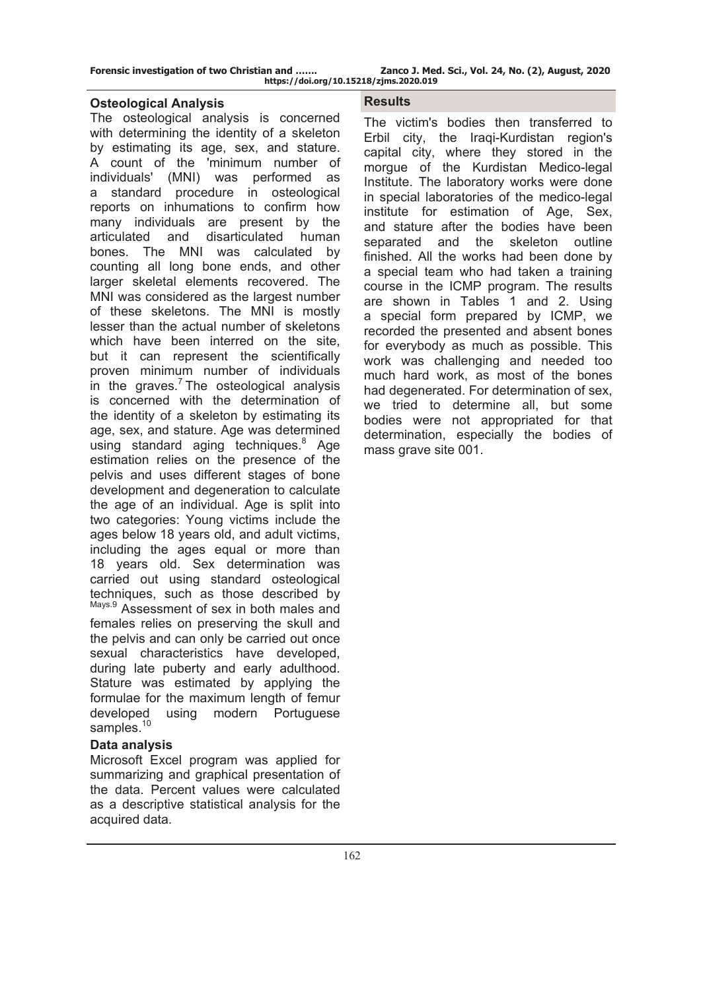**Forensic investigation of two Christian and ……. Zanco J. Med. Sci., Vol. 24, No. (2), August, 2020** 

**https://doi.org/10.15218/zjms.2020.019**

### **Osteological Analysis**

The osteological analysis is concerned with determining the identity of a skeleton by estimating its age, sex, and stature. A count of the 'minimum number of individuals' (MNI) was performed as a standard procedure in osteological reports on inhumations to confirm how many individuals are present by the articulated and disarticulated human bones. The MNI was calculated by counting all long bone ends, and other larger skeletal elements recovered. The MNI was considered as the largest number of these skeletons. The MNI is mostly lesser than the actual number of skeletons which have been interred on the site, but it can represent the scientifically proven minimum number of individuals in the graves.<sup>7</sup> The osteological analysis is concerned with the determination of the identity of a skeleton by estimating its age, sex, and stature. Age was determined using standard aging techniques.<sup>8</sup> Age estimation relies on the presence of the pelvis and uses different stages of bone development and degeneration to calculate the age of an individual. Age is split into two categories: Young victims include the ages below 18 years old, and adult victims, including the ages equal or more than 18 years old. Sex determination was carried out using standard osteological techniques, such as those described by Mays.9 Assessment of sex in both males and females relies on preserving the skull and the pelvis and can only be carried out once sexual characteristics have developed, during late puberty and early adulthood. Stature was estimated by applying the formulae for the maximum length of femur developed using modern Portuguese samples.<sup>10</sup>

# **Data analysis**

Microsoft Excel program was applied for summarizing and graphical presentation of the data. Percent values were calculated as a descriptive statistical analysis for the acquired data.

# **Results**

The victim's bodies then transferred to Erbil city, the Iraqi-Kurdistan region's capital city, where they stored in the morgue of the Kurdistan Medico-legal Institute. The laboratory works were done in special laboratories of the medico-legal institute for estimation of Age, Sex, and stature after the bodies have been separated and the skeleton outline finished. All the works had been done by a special team who had taken a training course in the ICMP program. The results are shown in Tables 1 and 2. Using a special form prepared by ICMP, we recorded the presented and absent bones for everybody as much as possible. This work was challenging and needed too much hard work, as most of the bones had degenerated. For determination of sex, we tried to determine all, but some bodies were not appropriated for that determination, especially the bodies of mass grave site 001.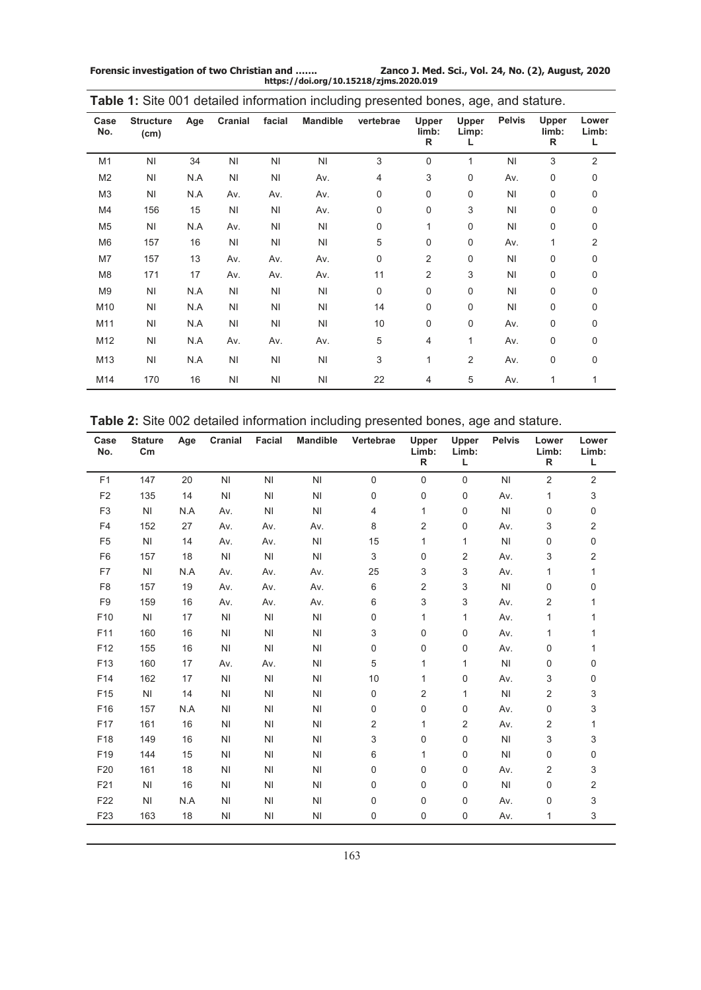**Forensic investigation of two Christian and ……. Zanco J. Med. Sci., Vol. 24, No. (2), August, 2020 https://doi.org/10.15218/zjms.2020.019**

| Case<br>No.    | <b>Structure</b><br>(cm) | Age | Cranial        | facial         | <b>Mandible</b> | vertebrae   | Upper<br>limb:<br>R | Upper<br>Limp: | <b>Pelvis</b>  | Upper<br>limb:<br>R | Lower<br>Limb:<br>L |
|----------------|--------------------------|-----|----------------|----------------|-----------------|-------------|---------------------|----------------|----------------|---------------------|---------------------|
| M <sub>1</sub> | N <sub>l</sub>           | 34  | N <sub>l</sub> | N <sub>l</sub> | N <sub>1</sub>  | 3           | $\mathbf 0$         | 1              | N <sub>1</sub> | 3                   | 2                   |
| M <sub>2</sub> | N <sub>1</sub>           | N.A | N <sub>1</sub> | N <sub>1</sub> | Av.             | 4           | 3                   | 0              | Av.            | $\mathbf 0$         | 0                   |
| M <sub>3</sub> | N <sub>1</sub>           | N.A | Av.            | Av.            | Av.             | 0           | $\mathbf 0$         | 0              | N <sub>1</sub> | 0                   | 0                   |
| M4             | 156                      | 15  | N <sub>l</sub> | N <sub>l</sub> | Av.             | 0           | $\pmb{0}$           | 3              | N <sub>1</sub> | $\mathbf 0$         | 0                   |
| M <sub>5</sub> | N <sub>1</sub>           | N.A | Av.            | NI             | <b>NI</b>       | 0           | $\mathbf{1}$        | 0              | N <sub>1</sub> | $\mathbf 0$         | 0                   |
| M <sub>6</sub> | 157                      | 16  | N <sub>1</sub> | N <sub>l</sub> | <b>NI</b>       | 5           | 0                   | 0              | Av.            | 1                   | $\overline{2}$      |
| M7             | 157                      | 13  | Av.            | Av.            | Av.             | 0           | 2                   | 0              | N <sub>1</sub> | 0                   | 0                   |
| M <sub>8</sub> | 171                      | 17  | Av.            | Av.            | Av.             | 11          | $\overline{2}$      | 3              | N <sub>1</sub> | 0                   | 0                   |
| M <sub>9</sub> | N <sub>1</sub>           | N.A | N <sub>1</sub> | N <sub>1</sub> | N <sub>1</sub>  | $\mathbf 0$ | $\mathbf 0$         | 0              | N <sub>1</sub> | $\mathbf 0$         | 0                   |
| M10            | N <sub>1</sub>           | N.A | N <sub>l</sub> | N <sub>1</sub> | <b>NI</b>       | 14          | 0                   | 0              | N <sub>l</sub> | $\mathbf 0$         | 0                   |
| M11            | N <sub>1</sub>           | N.A | N <sub>l</sub> | NI             | N <sub>l</sub>  | 10          | 0                   | 0              | Av.            | 0                   | 0                   |
| M12            | NI                       | N.A | Av.            | Av.            | Av.             | 5           | 4                   | 1              | Av.            | 0                   | 0                   |
| M13            | N <sub>1</sub>           | N.A | N <sub>1</sub> | N <sub>l</sub> | N <sub>l</sub>  | 3           | 1                   | $\overline{2}$ | Av.            | 0                   | 0                   |
| M14            | 170                      | 16  | N <sub>1</sub> | NI             | N <sub>1</sub>  | 22          | 4                   | 5              | Av.            | 1                   | 1                   |

**Table 1:** Site 001 detailed information including presented bones, age, and stature.

**Table 2:** Site 002 detailed information including presented bones, age and stature.

| Case<br>No.     | <b>Stature</b><br>$\mathsf{c}_{\mathsf{m}}$ | Age | Cranial        | <b>Facial</b>  | <b>Mandible</b> | Vertebrae   | <b>Upper</b><br>Limb:<br>R. | Upper<br>Limb:<br>L | <b>Pelvis</b> | Lower<br>Limb:<br>R | Lower<br>Limb:<br>L |
|-----------------|---------------------------------------------|-----|----------------|----------------|-----------------|-------------|-----------------------------|---------------------|---------------|---------------------|---------------------|
| F <sub>1</sub>  | 147                                         | 20  | ΝI             | <b>NI</b>      | ΝI              | $\mathbf 0$ | $\mathbf 0$                 | $\Omega$            | NI            | 2                   | 2                   |
| F <sub>2</sub>  | 135                                         | 14  | NI             | N <sub>l</sub> | N <sub>1</sub>  | 0           | $\mathbf 0$                 | 0                   | Av.           | 1                   | 3                   |
| F <sub>3</sub>  | NI                                          | N.A | Av.            | <b>NI</b>      | ΝI              | 4           | 1                           | 0                   | NI            | $\mathbf 0$         | 0                   |
| F <sub>4</sub>  | 152                                         | 27  | Av.            | Av.            | Av.             | 8           | 2                           | 0                   | Av.           | 3                   | 2                   |
| F <sub>5</sub>  | NI                                          | 14  | Av.            | Av.            | NI              | 15          | 1                           | 1                   | NI            | 0                   | 0                   |
| F <sub>6</sub>  | 157                                         | 18  | N <sub>l</sub> | N <sub>l</sub> | N <sub>l</sub>  | 3           | 0                           | 2                   | Av.           | 3                   | 2                   |
| F7              | NI                                          | N.A | Av.            | Av.            | Av.             | 25          | 3                           | 3                   | Av.           | 1                   | 1                   |
| F <sub>8</sub>  | 157                                         | 19  | Av.            | Av.            | Av.             | 6           | $\overline{2}$              | 3                   | NI            | 0                   | 0                   |
| F <sub>9</sub>  | 159                                         | 16  | Av.            | Av.            | Av.             | 6           | 3                           | 3                   | Av.           | 2                   | 1                   |
| F10             | NI                                          | 17  | NI             | NI             | NI              | 0           | 1                           | 1                   | Av.           | 1                   | 1                   |
| F11             | 160                                         | 16  | N <sub>l</sub> | NI             | ΝI              | 3           | $\mathbf 0$                 | 0                   | Av.           | 1                   | 1                   |
| F12             | 155                                         | 16  | N <sub>l</sub> | N <sub>1</sub> | ΝI              | 0           | $\mathbf 0$                 | 0                   | Av.           | 0                   | 1                   |
| F <sub>13</sub> | 160                                         | 17  | Av.            | Av.            | ΝI              | 5           | 1                           | $\mathbf{1}$        | NI            | 0                   | 0                   |
| F14             | 162                                         | 17  | NI             | N <sub>1</sub> | N <sub>l</sub>  | 10          | 1                           | 0                   | Av.           | 3                   | 0                   |
| F15             | N <sub>l</sub>                              | 14  | N <sub>l</sub> | N <sub>l</sub> | ΝI              | 0           | 2                           | 1                   | NI            | $\overline{2}$      | 3                   |
| F16             | 157                                         | N.A | NI             | ΝI             | ΝI              | 0           | 0                           | 0                   | Av.           | $\mathbf 0$         | 3                   |
| F17             | 161                                         | 16  | NI             | N <sub>l</sub> | N <sub>1</sub>  | 2           | 1                           | 2                   | Av.           | $\overline{2}$      | 1                   |
| F18             | 149                                         | 16  | NI             | ΝI             | ΝI              | 3           | $\mathbf 0$                 | 0                   | NI            | 3                   | 3                   |
| F19             | 144                                         | 15  | NI             | ΝI             | ΝI              | 6           | 1                           | 0                   | ΝI            | 0                   | 0                   |
| F20             | 161                                         | 18  | N <sub>1</sub> | N <sub>l</sub> | N <sub>1</sub>  | 0           | $\mathbf 0$                 | $\mathbf 0$         | Av.           | 2                   | 3                   |
| F21             | NI                                          | 16  | N <sub>l</sub> | N <sub>l</sub> | ΝI              | 0           | $\mathbf 0$                 | 0                   | NI            | $\mathbf 0$         | 2                   |
| F22             | NI                                          | N.A | NI             | ΝI             | ΝI              | 0           | 0                           | 0                   | Av.           | 0                   | 3                   |
| F <sub>23</sub> | 163                                         | 18  | NI             | ΝI             | ΝI              | 0           | 0                           | 0                   | Av.           | 1                   | 3                   |
|                 |                                             |     |                |                |                 |             |                             |                     |               |                     |                     |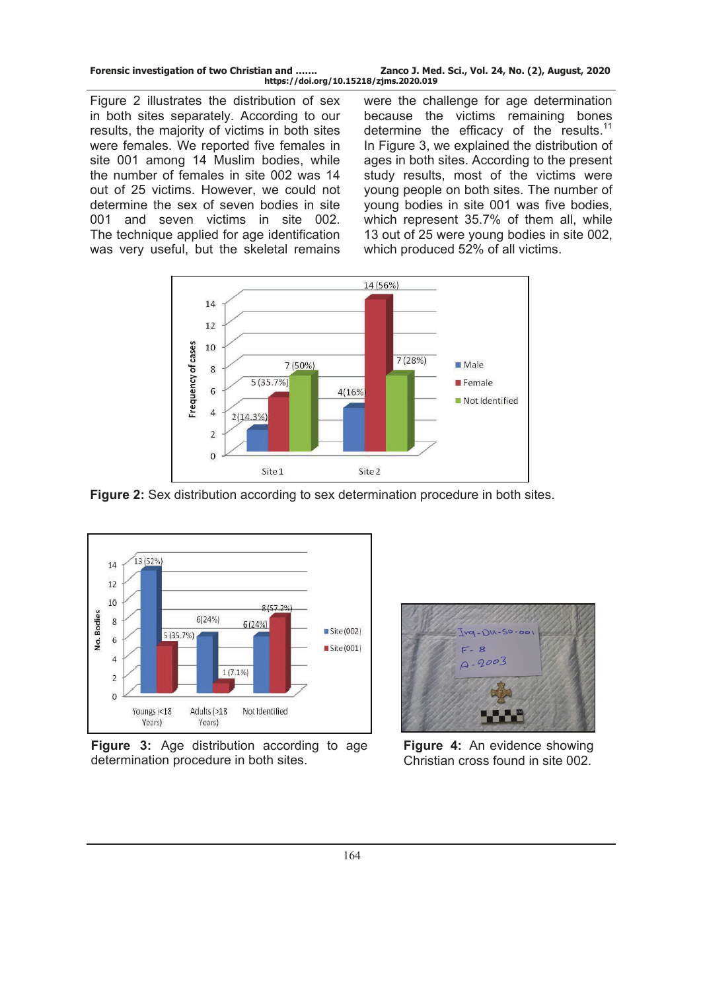| Forensic investigation of two Christian and | Zanco J. Med. Sci., Vol. 24, No. (2), August, 2020 |
|---------------------------------------------|----------------------------------------------------|
| https://doi.org/10.15218/zjms.2020.019      |                                                    |

Figure 2 illustrates the distribution of sex in both sites separately. According to our results, the majority of victims in both sites were females. We reported five females in site 001 among 14 Muslim bodies, while the number of females in site 002 was 14 out of 25 victims. However, we could not determine the sex of seven bodies in site 001 and seven victims in site 002. The technique applied for age identification was very useful, but the skeletal remains

were the challenge for age determination because the victims remaining bones determine the efficacy of the results.<sup>11</sup> In Figure 3, we explained the distribution of ages in both sites. According to the present study results, most of the victims were young people on both sites. The number of young bodies in site 001 was five bodies, which represent 35.7% of them all, while 13 out of 25 were young bodies in site 002, which produced 52% of all victims.



**Figure 2:** Sex distribution according to sex determination procedure in both sites.



**Figure 3:** Age distribution according to age determination procedure in both sites.



**Figure 4:** An evidence showing Christian cross found in site 002.